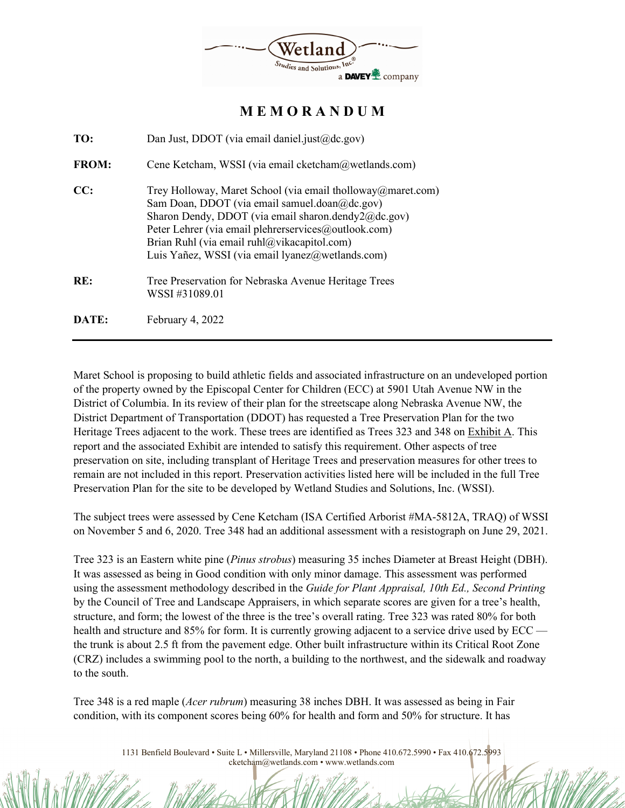

**M E M O R A N D U M** 

| TO:          | Dan Just, DDOT (via email daniel.just@dc.gov)                                                                                                                                                                                                                                                                                  |  |  |  |
|--------------|--------------------------------------------------------------------------------------------------------------------------------------------------------------------------------------------------------------------------------------------------------------------------------------------------------------------------------|--|--|--|
| <b>FROM:</b> | Cene Ketcham, WSSI (via email cketcham@wetlands.com)                                                                                                                                                                                                                                                                           |  |  |  |
| CC:          | Trey Holloway, Maret School (via email tholloway@maret.com)<br>Sam Doan, DDOT (via email samuel.doan@dc.gov)<br>Sharon Dendy, DDOT (via email sharon.dendy2@dc.gov)<br>Peter Lehrer (via email plehrerservices@outlook.com)<br>Brian Ruhl (via email ruhl@vikacapitol.com)<br>Luis Yañez, WSSI (via email lyanez@wetlands.com) |  |  |  |
| RE:          | Tree Preservation for Nebraska Avenue Heritage Trees<br>WSSI #31089.01                                                                                                                                                                                                                                                         |  |  |  |
| DATE:        | February 4, 2022                                                                                                                                                                                                                                                                                                               |  |  |  |

Maret School is proposing to build athletic fields and associated infrastructure on an undeveloped portion of the property owned by the Episcopal Center for Children (ECC) at 5901 Utah Avenue NW in the District of Columbia. In its review of their plan for the streetscape along Nebraska Avenue NW, the District Department of Transportation (DDOT) has requested a Tree Preservation Plan for the two Heritage Trees adjacent to the work. These trees are identified as Trees 323 and 348 on Exhibit A. This report and the associated Exhibit are intended to satisfy this requirement. Other aspects of tree preservation on site, including transplant of Heritage Trees and preservation measures for other trees to remain are not included in this report. Preservation activities listed here will be included in the full Tree Preservation Plan for the site to be developed by Wetland Studies and Solutions, Inc. (WSSI).

The subject trees were assessed by Cene Ketcham (ISA Certified Arborist #MA-5812A, TRAQ) of WSSI on November 5 and 6, 2020. Tree 348 had an additional assessment with a resistograph on June 29, 2021.

Tree 323 is an Eastern white pine (*Pinus strobus*) measuring 35 inches Diameter at Breast Height (DBH). It was assessed as being in Good condition with only minor damage. This assessment was performed using the assessment methodology described in the *Guide for Plant Appraisal, 10th Ed., Second Printing* by the Council of Tree and Landscape Appraisers, in which separate scores are given for a tree's health, structure, and form; the lowest of the three is the tree's overall rating. Tree 323 was rated 80% for both health and structure and 85% for form. It is currently growing adjacent to a service drive used by ECC the trunk is about 2.5 ft from the pavement edge. Other built infrastructure within its Critical Root Zone (CRZ) includes a swimming pool to the north, a building to the northwest, and the sidewalk and roadway to the south.

Tree 348 is a red maple (*Acer rubrum*) measuring 38 inches DBH. It was assessed as being in Fair condition, with its component scores being 60% for health and form and 50% for structure. It has

> 1131 Benfield Boulevard • Suite L • Millersville, Maryland 21108 • Phone 410.672.5990 • Fax 410.672.5993 cketcham@wetlands.com • www.wetlands.com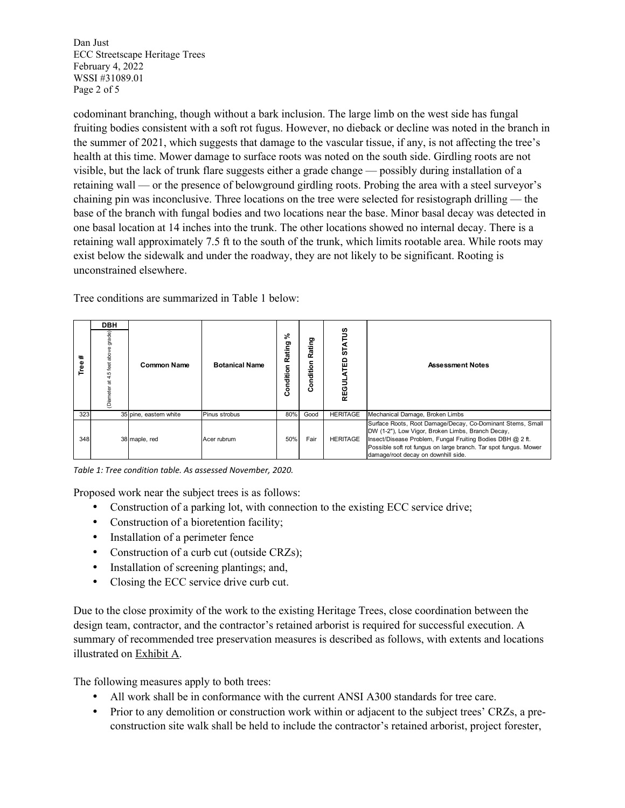Dan Just ECC Streetscape Heritage Trees February 4, 2022 WSSI #31089.01 Page 2 of 5

codominant branching, though without a bark inclusion. The large limb on the west side has fungal fruiting bodies consistent with a soft rot fugus. However, no dieback or decline was noted in the branch in the summer of 2021, which suggests that damage to the vascular tissue, if any, is not affecting the tree's health at this time. Mower damage to surface roots was noted on the south side. Girdling roots are not visible, but the lack of trunk flare suggests either a grade change — possibly during installation of a retaining wall — or the presence of belowground girdling roots. Probing the area with a steel surveyor's chaining pin was inconclusive. Three locations on the tree were selected for resistograph drilling — the base of the branch with fungal bodies and two locations near the base. Minor basal decay was detected in one basal location at 14 inches into the trunk. The other locations showed no internal decay. There is a retaining wall approximately 7.5 ft to the south of the trunk, which limits rootable area. While roots may exist below the sidewalk and under the roadway, they are not likely to be significant. Rooting is unconstrained elsewhere.

Tree conditions are summarized in Table 1 below:

| #<br>es<br>Tr | DBH<br>de)<br>jar<br>Olar | <b>Common Name</b>     | <b>Botanical Name</b> | వి<br>Rating<br>Condition | ating<br>œ<br>dition<br>۰<br>Ö | ှိ<br><b>STAT</b><br>읎<br><b>REGI</b> | <b>Assessment Notes</b>                                                                                                                                                                                                                                                                  |
|---------------|---------------------------|------------------------|-----------------------|---------------------------|--------------------------------|---------------------------------------|------------------------------------------------------------------------------------------------------------------------------------------------------------------------------------------------------------------------------------------------------------------------------------------|
| 323           |                           | 35 pine, eastern white | Pinus strobus         | 80%                       | Good                           | <b>HERITAGE</b>                       | Mechanical Damage, Broken Limbs                                                                                                                                                                                                                                                          |
| 348           |                           | 38 maple, red          | Acer rubrum           | 50%                       | Fair                           | <b>HERITAGE</b>                       | Surface Roots, Root Damage/Decay, Co-Dominant Stems, Small<br>DW (1-2"), Low Vigor, Broken Limbs, Branch Decay,<br>Insect/Disease Problem, Fungal Fruiting Bodies DBH @ 2 ft.<br>Possible soft rot fungus on large branch. Tar spot fungus. Mower<br>damage/root decay on downhill side. |

*Table 1: Tree condition table. As assessed November, 2020.*

Proposed work near the subject trees is as follows:

- Construction of a parking lot, with connection to the existing ECC service drive;
- Construction of a bioretention facility;
- Installation of a perimeter fence
- Construction of a curb cut (outside CRZs);
- Installation of screening plantings; and,
- Closing the ECC service drive curb cut.

Due to the close proximity of the work to the existing Heritage Trees, close coordination between the design team, contractor, and the contractor's retained arborist is required for successful execution. A summary of recommended tree preservation measures is described as follows, with extents and locations illustrated on Exhibit A.

The following measures apply to both trees:

- All work shall be in conformance with the current ANSI A300 standards for tree care.
- Prior to any demolition or construction work within or adjacent to the subject trees' CRZs, a preconstruction site walk shall be held to include the contractor's retained arborist, project forester,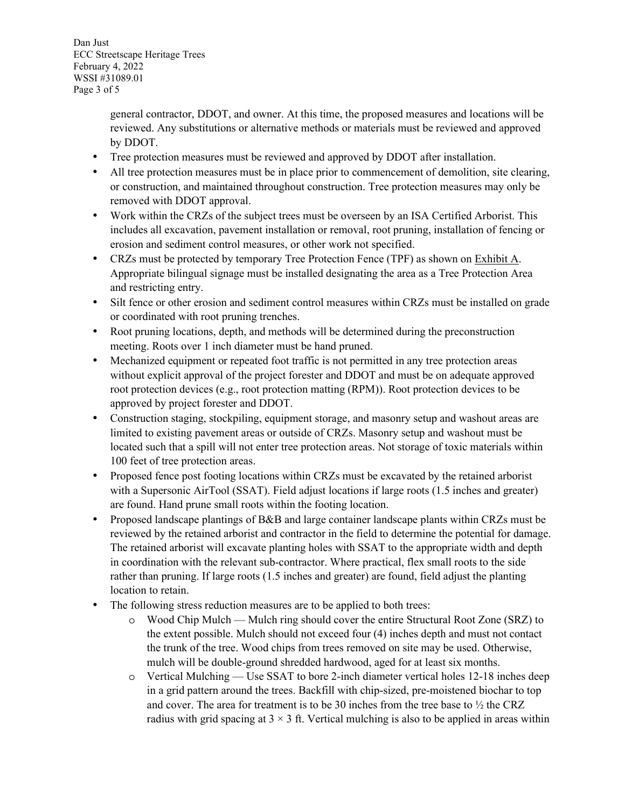Dan Just ECC Streetscape Heritage Trees February 4, 2022 WSSI #31089.01 Page 3 of 5

> general contractor, DDOT, and owner. At this time, the proposed measures and locations will be reviewed. Any substitutions or alternative methods or materials must be reviewed and approved by DDOT.

- Tree protection measures must be reviewed and approved by DDOT after installation.
- All tree protection measures must be in place prior to commencement of demolition, site clearing, or construction, and maintained throughout construction. Tree protection measures may only be removed with DDOT approval.
- Work within the CRZs of the subject trees must be overseen by an ISA Certified Arborist. This includes all excavation, pavement installation or removal, root pruning, installation of fencing or erosion and sediment control measures, or other work not specified.
- CRZs must be protected by temporary Tree Protection Fence (TPF) as shown on Exhibit A. Appropriate bilingual signage must be installed designating the area as a Tree Protection Area and restricting entry.
- Silt fence or other erosion and sediment control measures within CRZs must be installed on grade or coordinated with root pruning trenches.
- Root pruning locations, depth, and methods will be determined during the preconstruction meeting. Roots over 1 inch diameter must be hand pruned.
- Mechanized equipment or repeated foot traffic is not permitted in any tree protection areas without explicit approval of the project forester and DDOT and must be on adequate approved root protection devices (e.g., root protection matting (RPM)). Root protection devices to be approved by project forester and DDOT.
- Construction staging, stockpiling, equipment storage, and masonry setup and washout areas are limited to existing pavement areas or outside of CRZs. Masonry setup and washout must be located such that a spill will not enter tree protection areas. Not storage of toxic materials within 100 feet of tree protection areas.
- Proposed fence post footing locations within CRZs must be excavated by the retained arborist with a Supersonic AirTool (SSAT). Field adjust locations if large roots (1.5 inches and greater) are found. Hand prune small roots within the footing location.
- Proposed landscape plantings of B&B and large container landscape plants within CRZs must be reviewed by the retained arborist and contractor in the field to determine the potential for damage. The retained arborist will excavate planting holes with SSAT to the appropriate width and depth in coordination with the relevant sub-contractor. Where practical, flex small roots to the side rather than pruning. If large roots (1.5 inches and greater) are found, field adjust the planting location to retain.
- The following stress reduction measures are to be applied to both trees:
	- o Wood Chip Mulch Mulch ring should cover the entire Structural Root Zone (SRZ) to the extent possible. Mulch should not exceed four (4) inches depth and must not contact the trunk of the tree. Wood chips from trees removed on site may be used. Otherwise, mulch will be double-ground shredded hardwood, aged for at least six months.
	- o Vertical Mulching Use SSAT to bore 2-inch diameter vertical holes 12-18 inches deep in a grid pattern around the trees. Backfill with chip-sized, pre-moistened biochar to top and cover. The area for treatment is to be 30 inches from the tree base to  $\frac{1}{2}$  the CRZ radius with grid spacing at  $3 \times 3$  ft. Vertical mulching is also to be applied in areas within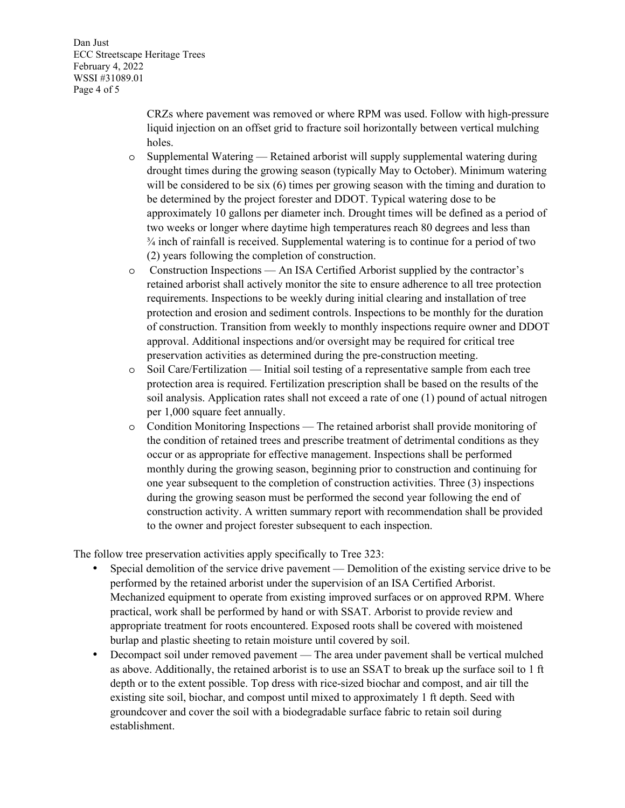Dan Just ECC Streetscape Heritage Trees February 4, 2022 WSSI #31089.01 Page 4 of 5

> CRZs where pavement was removed or where RPM was used. Follow with high-pressure liquid injection on an offset grid to fracture soil horizontally between vertical mulching holes.

- o Supplemental Watering Retained arborist will supply supplemental watering during drought times during the growing season (typically May to October). Minimum watering will be considered to be six (6) times per growing season with the timing and duration to be determined by the project forester and DDOT. Typical watering dose to be approximately 10 gallons per diameter inch. Drought times will be defined as a period of two weeks or longer where daytime high temperatures reach 80 degrees and less than  $\frac{3}{4}$  inch of rainfall is received. Supplemental watering is to continue for a period of two (2) years following the completion of construction.
- o Construction Inspections An ISA Certified Arborist supplied by the contractor's retained arborist shall actively monitor the site to ensure adherence to all tree protection requirements. Inspections to be weekly during initial clearing and installation of tree protection and erosion and sediment controls. Inspections to be monthly for the duration of construction. Transition from weekly to monthly inspections require owner and DDOT approval. Additional inspections and/or oversight may be required for critical tree preservation activities as determined during the pre-construction meeting.
- o Soil Care/Fertilization Initial soil testing of a representative sample from each tree protection area is required. Fertilization prescription shall be based on the results of the soil analysis. Application rates shall not exceed a rate of one (1) pound of actual nitrogen per 1,000 square feet annually.
- o Condition Monitoring Inspections The retained arborist shall provide monitoring of the condition of retained trees and prescribe treatment of detrimental conditions as they occur or as appropriate for effective management. Inspections shall be performed monthly during the growing season, beginning prior to construction and continuing for one year subsequent to the completion of construction activities. Three (3) inspections during the growing season must be performed the second year following the end of construction activity. A written summary report with recommendation shall be provided to the owner and project forester subsequent to each inspection.

The follow tree preservation activities apply specifically to Tree 323:

- Special demolition of the service drive pavement Demolition of the existing service drive to be performed by the retained arborist under the supervision of an ISA Certified Arborist. Mechanized equipment to operate from existing improved surfaces or on approved RPM. Where practical, work shall be performed by hand or with SSAT. Arborist to provide review and appropriate treatment for roots encountered. Exposed roots shall be covered with moistened burlap and plastic sheeting to retain moisture until covered by soil.
- Decompact soil under removed pavement The area under pavement shall be vertical mulched as above. Additionally, the retained arborist is to use an SSAT to break up the surface soil to 1 ft depth or to the extent possible. Top dress with rice-sized biochar and compost, and air till the existing site soil, biochar, and compost until mixed to approximately 1 ft depth. Seed with groundcover and cover the soil with a biodegradable surface fabric to retain soil during establishment.